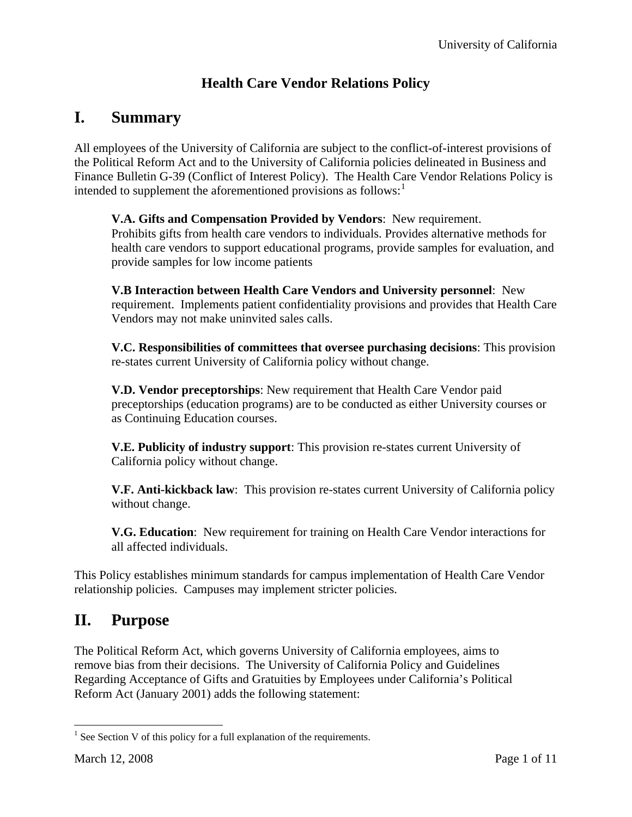### **Health Care Vendor Relations Policy**

## **I. Summary**

All employees of the University of California are subject to the conflict-of-interest provisions of the Political Reform Act and to the University of California policies delineated in Business and Finance Bulletin G-39 (Conflict of Interest Policy). The Health Care Vendor Relations Policy is intended to supplement the aforementioned provisions as follows:

**[V.A](#page-3-0). [Gifts and Compensation Provided by Vendors](#page-3-0)**: New requirement. Prohibits gifts from health care vendors to individuals. Provides alternative methods for health care vendors to support educational programs, provide samples for evaluation, and provide samples for low income patients

**[V.B](#page-4-0) [Interaction between Health Care Vendors and University personnel](#page-4-0)**: New requirement. Implements patient confidentiality provisions and provides that Health Care Vendors may not make uninvited sales calls.

**[V.C](#page-5-0). [Responsibilities of committees that oversee purchasing decisions](#page-5-0)**: This provision re-states current University of California policy without change.

**[V.D](#page-5-1). [Vendor preceptorships](#page-5-1)**: New requirement that Health Care Vendor paid preceptorships (education programs) are to be conducted as either University courses or as Continuing Education courses.

**[V.E.](#page-6-0) [Publicity of industry support](#page-6-0)**: This provision re-states current University of California policy without change.

**[V.F.](#page-6-1) [Anti-kickback law](#page-6-1)**: This provision re-states current University of California policy without change.

**[V.G](#page-6-2). [Education](#page-6-2)**: New requirement for training on Health Care Vendor interactions for all affected individuals.

This Policy establishes minimum standards for campus implementation of Health Care Vendor relationship policies. Campuses may implement stricter policies.

## **II. Purpose**

The Political Reform Act, which governs University of California employees, aims to remove bias from their decisions. The University of California Policy and Guidelines Regarding Acceptance of Gifts and Gratuities by Employees under California's Political Reform Act (January 2001) adds the following statement:

<span id="page-0-0"></span> $\overline{a}$ <sup>1</sup> See Section V of this policy for a full explanation of the requirements.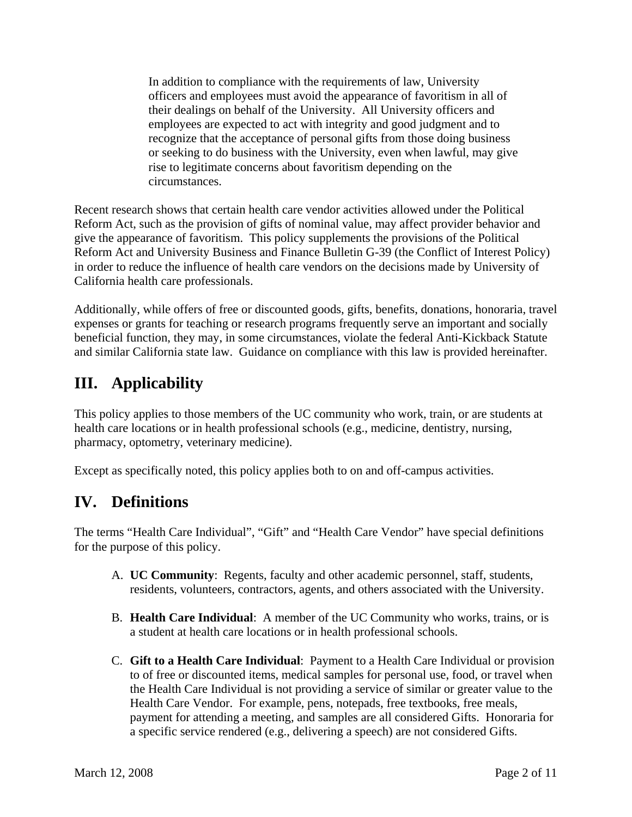In addition to compliance with the requirements of law, University officers and employees must avoid the appearance of favoritism in all of their dealings on behalf of the University. All University officers and employees are expected to act with integrity and good judgment and to recognize that the acceptance of personal gifts from those doing business or seeking to do business with the University, even when lawful, may give rise to legitimate concerns about favoritism depending on the circumstances.

Recent research shows that certain health care vendor activities allowed under the Political Reform Act, such as the provision of gifts of nominal value, may affect provider behavior and give the appearance of favoritism. This policy supplements the provisions of the Political Reform Act and University Business and Finance Bulletin G-39 (the Conflict of Interest Policy) in order to reduce the influence of health care vendors on the decisions made by University of California health care professionals.

Additionally, while offers of free or discounted goods, gifts, benefits, donations, honoraria, travel expenses or grants for teaching or research programs frequently serve an important and socially beneficial function, they may, in some circumstances, violate the federal Anti-Kickback Statute and similar California state law. Guidance on compliance with this law is provided hereinafter.

# **III. Applicability**

This policy applies to those members of the UC community who work, train, or are students at health care locations or in health professional schools (e.g., medicine, dentistry, nursing, pharmacy, optometry, veterinary medicine).

Except as specifically noted, this policy applies both to on and off-campus activities.

## **IV. Definitions**

The terms "Health Care Individual", "Gift" and "Health Care Vendor" have special definitions for the purpose of this policy.

- A. **UC Community**: Regents, faculty and other academic personnel, staff, students, residents, volunteers, contractors, agents, and others associated with the University.
- B. **Health Care Individual**: A member of the UC Community who works, trains, or is a student at health care locations or in health professional schools.
- C. **Gift to a Health Care Individual**: Payment to a Health Care Individual or provision to of free or discounted items, medical samples for personal use, food, or travel when the Health Care Individual is not providing a service of similar or greater value to the Health Care Vendor. For example, pens, notepads, free textbooks, free meals, payment for attending a meeting, and samples are all considered Gifts. Honoraria for a specific service rendered (e.g., delivering a speech) are not considered Gifts.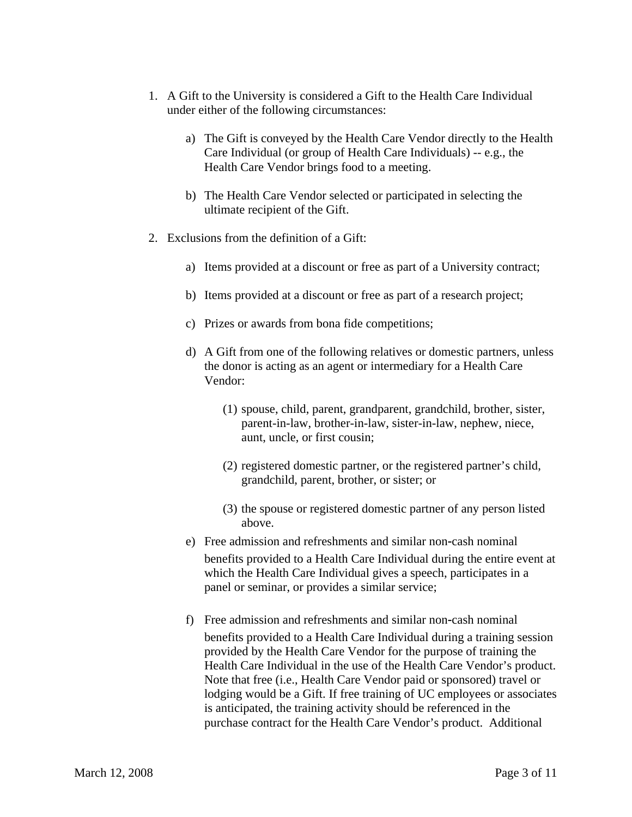- 1. A Gift to the University is considered a Gift to the Health Care Individual under either of the following circumstances:
	- a) The Gift is conveyed by the Health Care Vendor directly to the Health Care Individual (or group of Health Care Individuals) -- e.g., the Health Care Vendor brings food to a meeting.
	- b) The Health Care Vendor selected or participated in selecting the ultimate recipient of the Gift.
- 2. Exclusions from the definition of a Gift:
	- a) Items provided at a discount or free as part of a University contract;
	- b) Items provided at a discount or free as part of a research project;
	- c) Prizes or awards from bona fide competitions;
	- d) A Gift from one of the following relatives or domestic partners, unless the donor is acting as an agent or intermediary for a Health Care Vendor:
		- (1) spouse, child, parent, grandparent, grandchild, brother, sister, parent-in-law, brother-in-law, sister-in-law, nephew, niece, aunt, uncle, or first cousin;
		- (2) registered domestic partner, or the registered partner's child, grandchild, parent, brother, or sister; or
		- (3) the spouse or registered domestic partner of any person listed above.
	- e) Free admission and refreshments and similar non‑cash nominal benefits provided to a Health Care Individual during the entire event at which the Health Care Individual gives a speech, participates in a panel or seminar, or provides a similar service;
	- f) Free admission and refreshments and similar non-cash nominal benefits provided to a Health Care Individual during a training session provided by the Health Care Vendor for the purpose of training the Health Care Individual in the use of the Health Care Vendor's product. Note that free (i.e., Health Care Vendor paid or sponsored) travel or lodging would be a Gift. If free training of UC employees or associates is anticipated, the training activity should be referenced in the purchase contract for the Health Care Vendor's product. Additional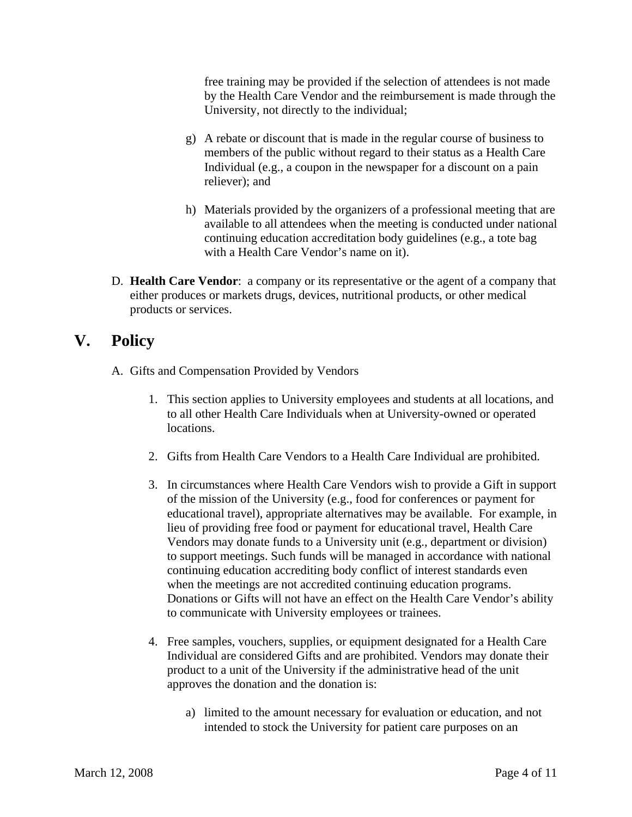free training may be provided if the selection of attendees is not made by the Health Care Vendor and the reimbursement is made through the University, not directly to the individual;

- g) A rebate or discount that is made in the regular course of business to members of the public without regard to their status as a Health Care Individual (e.g., a coupon in the newspaper for a discount on a pain reliever); and
- h) Materials provided by the organizers of a professional meeting that are available to all attendees when the meeting is conducted under national continuing education accreditation body guidelines (e.g., a tote bag with a Health Care Vendor's name on it).
- D. **Health Care Vendor**: a company or its representative or the agent of a company that either produces or markets drugs, devices, nutritional products, or other medical products or services.

### <span id="page-3-0"></span>**V. Policy**

- A. Gifts and Compensation Provided by Vendors
	- 1. This section applies to University employees and students at all locations, and to all other Health Care Individuals when at University-owned or operated locations.
	- 2. Gifts from Health Care Vendors to a Health Care Individual are prohibited.
	- 3. In circumstances where Health Care Vendors wish to provide a Gift in support of the mission of the University (e.g., food for conferences or payment for educational travel), appropriate alternatives may be available. For example, in lieu of providing free food or payment for educational travel, Health Care Vendors may donate funds to a University unit (e.g., department or division) to support meetings. Such funds will be managed in accordance with national continuing education accrediting body conflict of interest standards even when the meetings are not accredited continuing education programs. Donations or Gifts will not have an effect on the Health Care Vendor's ability to communicate with University employees or trainees.
	- 4. Free samples, vouchers, supplies, or equipment designated for a Health Care Individual are considered Gifts and are prohibited. Vendors may donate their product to a unit of the University if the administrative head of the unit approves the donation and the donation is:
		- a) limited to the amount necessary for evaluation or education, and not intended to stock the University for patient care purposes on an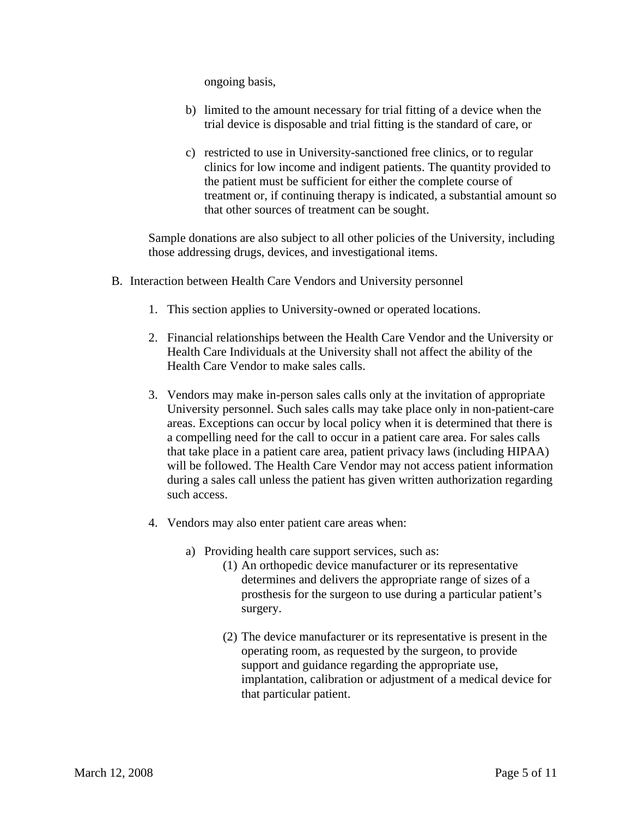ongoing basis,

- b) limited to the amount necessary for trial fitting of a device when the trial device is disposable and trial fitting is the standard of care, or
- c) restricted to use in University-sanctioned free clinics, or to regular clinics for low income and indigent patients. The quantity provided to the patient must be sufficient for either the complete course of treatment or, if continuing therapy is indicated, a substantial amount so that other sources of treatment can be sought.

Sample donations are also subject to all other policies of the University, including those addressing drugs, devices, and investigational items.

- <span id="page-4-0"></span>B. Interaction between Health Care Vendors and University personnel
	- 1. This section applies to University-owned or operated locations.
	- 2. Financial relationships between the Health Care Vendor and the University or Health Care Individuals at the University shall not affect the ability of the Health Care Vendor to make sales calls.
	- 3. Vendors may make in-person sales calls only at the invitation of appropriate University personnel. Such sales calls may take place only in non-patient-care areas. Exceptions can occur by local policy when it is determined that there is a compelling need for the call to occur in a patient care area. For sales calls that take place in a patient care area, patient privacy laws (including HIPAA) will be followed. The Health Care Vendor may not access patient information during a sales call unless the patient has given written authorization regarding such access.
	- 4. Vendors may also enter patient care areas when:
		- a) Providing health care support services, such as:
			- (1) An orthopedic device manufacturer or its representative determines and delivers the appropriate range of sizes of a prosthesis for the surgeon to use during a particular patient's surgery.
			- (2) The device manufacturer or its representative is present in the operating room, as requested by the surgeon, to provide support and guidance regarding the appropriate use, implantation, calibration or adjustment of a medical device for that particular patient.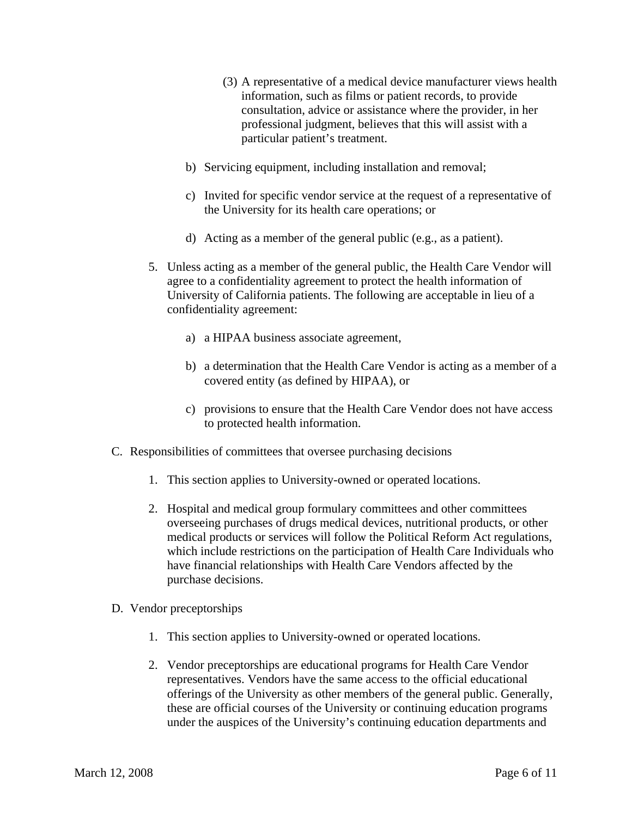- (3) A representative of a medical device manufacturer views health information, such as films or patient records, to provide consultation, advice or assistance where the provider, in her professional judgment, believes that this will assist with a particular patient's treatment.
- b) Servicing equipment, including installation and removal;
- c) Invited for specific vendor service at the request of a representative of the University for its health care operations; or
- d) Acting as a member of the general public (e.g., as a patient).
- 5. Unless acting as a member of the general public, the Health Care Vendor will agree to a confidentiality agreement to protect the health information of University of California patients. The following are acceptable in lieu of a confidentiality agreement:
	- a) a HIPAA business associate agreement,
	- b) a determination that the Health Care Vendor is acting as a member of a covered entity (as defined by HIPAA), or
	- c) provisions to ensure that the Health Care Vendor does not have access to protected health information.
- <span id="page-5-0"></span>C. Responsibilities of committees that oversee purchasing decisions
	- 1. This section applies to University-owned or operated locations.
	- 2. Hospital and medical group formulary committees and other committees overseeing purchases of drugs medical devices, nutritional products, or other medical products or services will follow the Political Reform Act regulations, which include restrictions on the participation of Health Care Individuals who have financial relationships with Health Care Vendors affected by the purchase decisions.
- <span id="page-5-1"></span>D. Vendor preceptorships
	- 1. This section applies to University-owned or operated locations.
	- 2. Vendor preceptorships are educational programs for Health Care Vendor representatives. Vendors have the same access to the official educational offerings of the University as other members of the general public. Generally, these are official courses of the University or continuing education programs under the auspices of the University's continuing education departments and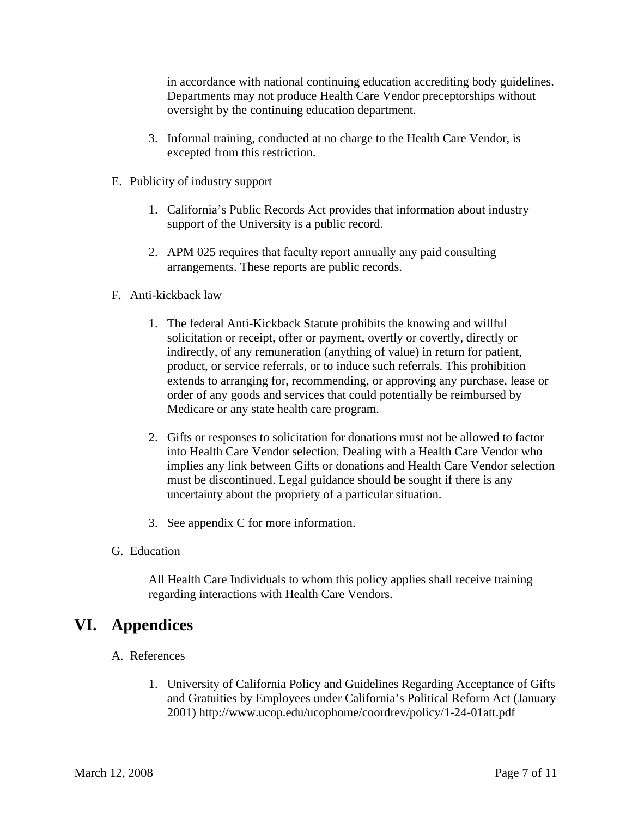in accordance with national continuing education accrediting body guidelines. Departments may not produce Health Care Vendor preceptorships without oversight by the continuing education department.

- 3. Informal training, conducted at no charge to the Health Care Vendor, is excepted from this restriction.
- <span id="page-6-0"></span>E. Publicity of industry support
	- 1. California's Public Records Act provides that information about industry support of the University is a public record.
	- 2. APM 025 requires that faculty report annually any paid consulting arrangements. These reports are public records.
- <span id="page-6-1"></span>F. Anti-kickback law
	- 1. The federal Anti-Kickback Statute prohibits the knowing and willful solicitation or receipt, offer or payment, overtly or covertly, directly or indirectly, of any remuneration (anything of value) in return for patient, product, or service referrals, or to induce such referrals. This prohibition extends to arranging for, recommending, or approving any purchase, lease or order of any goods and services that could potentially be reimbursed by Medicare or any state health care program.
	- 2. Gifts or responses to solicitation for donations must not be allowed to factor into Health Care Vendor selection. Dealing with a Health Care Vendor who implies any link between Gifts or donations and Health Care Vendor selection must be discontinued. Legal guidance should be sought if there is any uncertainty about the propriety of a particular situation.
	- 3. See appendix C for more information.
- G. Education

All Health Care Individuals to whom this policy applies shall receive training regarding interactions with Health Care Vendors.

#### <span id="page-6-2"></span>**VI. Appendices**

- A. References
	- 1. University of California Policy and Guidelines Regarding Acceptance of Gifts and Gratuities by Employees under California's Political Reform Act (January 2001) http://www.ucop.edu/ucophome/coordrev/policy/1-24-01att.pdf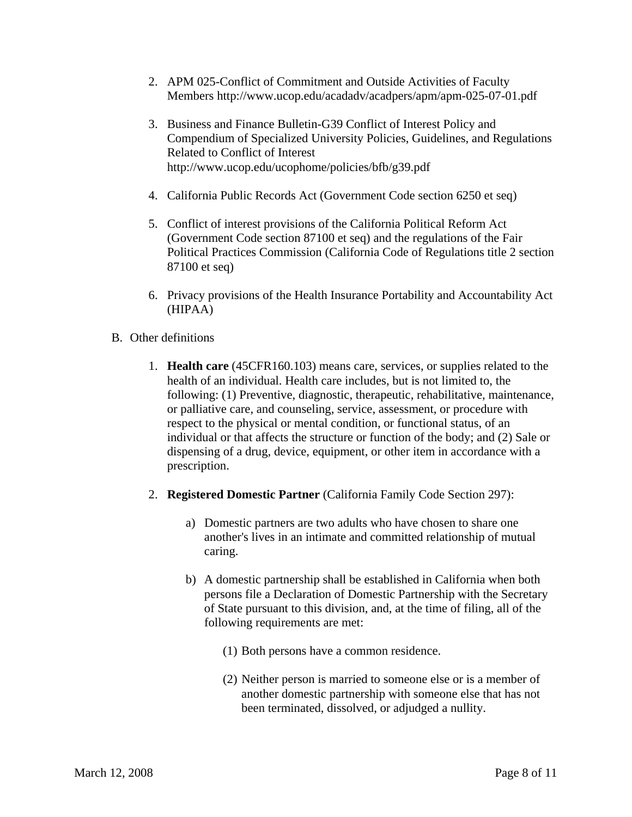- 2. APM 025-Conflict of Commitment and Outside Activities of Faculty Members http://www.ucop.edu/acadadv/acadpers/apm/apm-025-07-01.pdf
- 3. Business and Finance Bulletin-G39 Conflict of Interest Policy and Compendium of Specialized University Policies, Guidelines, and Regulations Related to Conflict of Interest http://www.ucop.edu/ucophome/policies/bfb/g39.pdf
- 4. California Public Records Act (Government Code section 6250 et seq)
- 5. Conflict of interest provisions of the California Political Reform Act (Government Code section 87100 et seq) and the regulations of the Fair Political Practices Commission (California Code of Regulations title 2 section 87100 et seq)
- 6. Privacy provisions of the Health Insurance Portability and Accountability Act (HIPAA)
- B. Other definitions
	- 1. **Health care** (45CFR160.103) means care, services, or supplies related to the health of an individual. Health care includes, but is not limited to, the following: (1) Preventive, diagnostic, therapeutic, rehabilitative, maintenance, or palliative care, and counseling, service, assessment, or procedure with respect to the physical or mental condition, or functional status, of an individual or that affects the structure or function of the body; and (2) Sale or dispensing of a drug, device, equipment, or other item in accordance with a prescription.
	- 2. **Registered Domestic Partner** (California Family Code Section 297):
		- a) Domestic partners are two adults who have chosen to share one another's lives in an intimate and committed relationship of mutual caring.
		- b) A domestic partnership shall be established in California when both persons file a Declaration of Domestic Partnership with the Secretary of State pursuant to this division, and, at the time of filing, all of the following requirements are met:
			- (1) Both persons have a common residence.
			- (2) Neither person is married to someone else or is a member of another domestic partnership with someone else that has not been terminated, dissolved, or adjudged a nullity.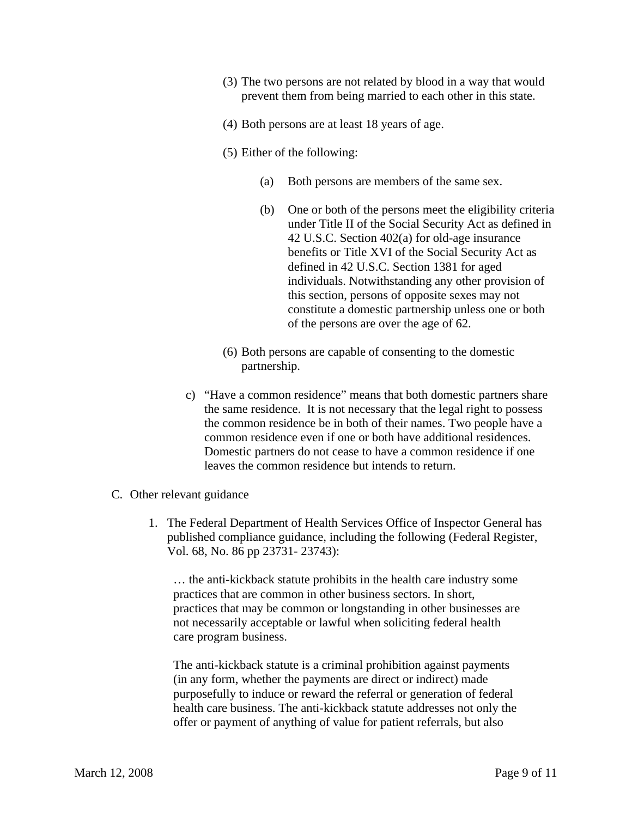- (3) The two persons are not related by blood in a way that would prevent them from being married to each other in this state.
- (4) Both persons are at least 18 years of age.
- (5) Either of the following:
	- (a) Both persons are members of the same sex.
	- (b) One or both of the persons meet the eligibility criteria under Title II of the Social Security Act as defined in 42 U.S.C. Section 402(a) for old-age insurance benefits or Title XVI of the Social Security Act as defined in 42 U.S.C. Section 1381 for aged individuals. Notwithstanding any other provision of this section, persons of opposite sexes may not constitute a domestic partnership unless one or both of the persons are over the age of 62.
- (6) Both persons are capable of consenting to the domestic partnership.
- c) "Have a common residence" means that both domestic partners share the same residence. It is not necessary that the legal right to possess the common residence be in both of their names. Two people have a common residence even if one or both have additional residences. Domestic partners do not cease to have a common residence if one leaves the common residence but intends to return.
- C. Other relevant guidance
	- 1. The Federal Department of Health Services Office of Inspector General has published compliance guidance, including the following (Federal Register, Vol. 68, No. 86 pp 23731- 23743):

… the anti-kickback statute prohibits in the health care industry some practices that are common in other business sectors. In short, practices that may be common or longstanding in other businesses are not necessarily acceptable or lawful when soliciting federal health care program business.

The anti-kickback statute is a criminal prohibition against payments (in any form, whether the payments are direct or indirect) made purposefully to induce or reward the referral or generation of federal health care business. The anti-kickback statute addresses not only the offer or payment of anything of value for patient referrals, but also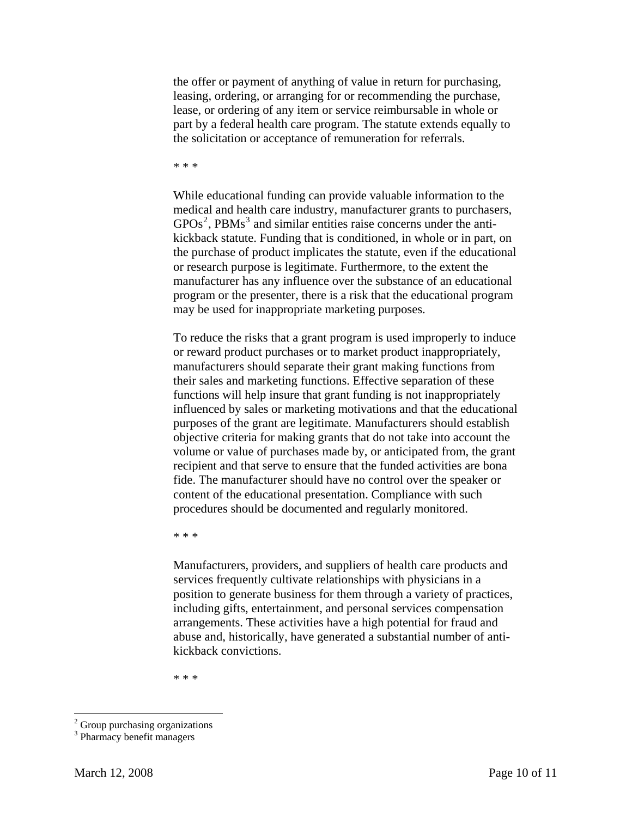the offer or payment of anything of value in return for purchasing, leasing, ordering, or arranging for or recommending the purchase, lease, or ordering of any item or service reimbursable in whole or part by a federal health care program. The statute extends equally to the solicitation or acceptance of remuneration for referrals.

\* \* \*

While educational funding can provide valuable information to the medical and health care industry, manufacturer grants to purchasers,  $GPOs<sup>2</sup>$  $GPOs<sup>2</sup>$  $GPOs<sup>2</sup>$ , PBMs<sup>[3](#page-9-1)</sup> and similar entities raise concerns under the antikickback statute. Funding that is conditioned, in whole or in part, on the purchase of product implicates the statute, even if the educational or research purpose is legitimate. Furthermore, to the extent the manufacturer has any influence over the substance of an educational program or the presenter, there is a risk that the educational program may be used for inappropriate marketing purposes.

To reduce the risks that a grant program is used improperly to induce or reward product purchases or to market product inappropriately, manufacturers should separate their grant making functions from their sales and marketing functions. Effective separation of these functions will help insure that grant funding is not inappropriately influenced by sales or marketing motivations and that the educational purposes of the grant are legitimate. Manufacturers should establish objective criteria for making grants that do not take into account the volume or value of purchases made by, or anticipated from, the grant recipient and that serve to ensure that the funded activities are bona fide. The manufacturer should have no control over the speaker or content of the educational presentation. Compliance with such procedures should be documented and regularly monitored.

\* \* \*

Manufacturers, providers, and suppliers of health care products and services frequently cultivate relationships with physicians in a position to generate business for them through a variety of practices, including gifts, entertainment, and personal services compensation arrangements. These activities have a high potential for fraud and abuse and, historically, have generated a substantial number of antikickback convictions.

\* \* \*

1

<span id="page-9-0"></span><sup>&</sup>lt;sup>2</sup> Group purchasing organizations

<span id="page-9-1"></span><sup>&</sup>lt;sup>3</sup> Pharmacy benefit managers